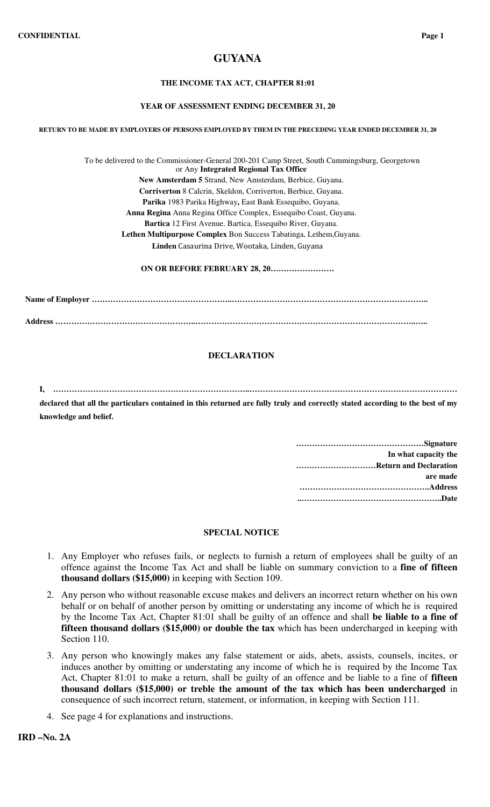# **GUYANA**

## **THE INCOME TAX ACT, CHAPTER 81:01**

#### **YEAR OF ASSESSMENT ENDING DECEMBER 31, 20**

**RETURN TO BE MADE BY EMPLOYERS OF PERSONS EMPLOYED BY THEM IN THE PRECEDING YEAR ENDED DECEMBER 31, 20**

To be delivered to the Commissioner-General 200-201 Camp Street, South Cummingsburg, Georgetown or Any **Integrated Regional Tax Office New Amsterdam 5** Strand, New Amsterdam, Berbice, Guyana. **Corriverton** 8 Calcrin, Skeldon, Corriverton, Berbice, Guyana. **Parika** 1983 Parika Highway**,** East Bank Essequibo, Guyana. **Anna Regina** Anna Regina Office Complex, Essequibo Coast, Guyana. **Bartica** 12 First Avenue. Bartica, Essequibo River, Guyana. **Lethen Multipurpose Complex** Bon Success Tabatinga, Lethem,Guyana. **Linden** Casaurina Drive, Wootaka, Linden, Guyana

**ON OR BEFORE FEBRUARY 28, 20……………………**

**Name of Employer ……………………………………………..……………………………………………………………….. Address ……………………………………………..………………………………………………………………………..…..** 

## **DECLARATION**

**I, ………………………………………………………………..…………………………………………………………………… declared that all the particulars contained in this returned are fully truly and correctly stated according to the best of my** 

| In what capacity the   |
|------------------------|
| Return and Declaration |
| are made               |
|                        |
|                        |

### **SPECIAL NOTICE**

- 1. Any Employer who refuses fails, or neglects to furnish a return of employees shall be guilty of an offence against the Income Tax Act and shall be liable on summary conviction to a **fine of fifteen thousand dollars (\$15,000)** in keeping with Section 109.
- 2. Any person who without reasonable excuse makes and delivers an incorrect return whether on his own behalf or on behalf of another person by omitting or understating any income of which he is required by the Income Tax Act, Chapter 81:01 shall be guilty of an offence and shall **be liable to a fine of fifteen thousand dollars (\$15,000) or double the tax** which has been undercharged in keeping with Section 110.
- 3. Any person who knowingly makes any false statement or aids, abets, assists, counsels, incites, or induces another by omitting or understating any income of which he is required by the Income Tax Act, Chapter 81:01 to make a return, shall be guilty of an offence and be liable to a fine of **fifteen thousand dollars (\$15,000) or treble the amount of the tax which has been undercharged** in consequence of such incorrect return, statement, or information, in keeping with Section 111.
- 4. See page 4 for explanations and instructions.

**knowledge and belief.**